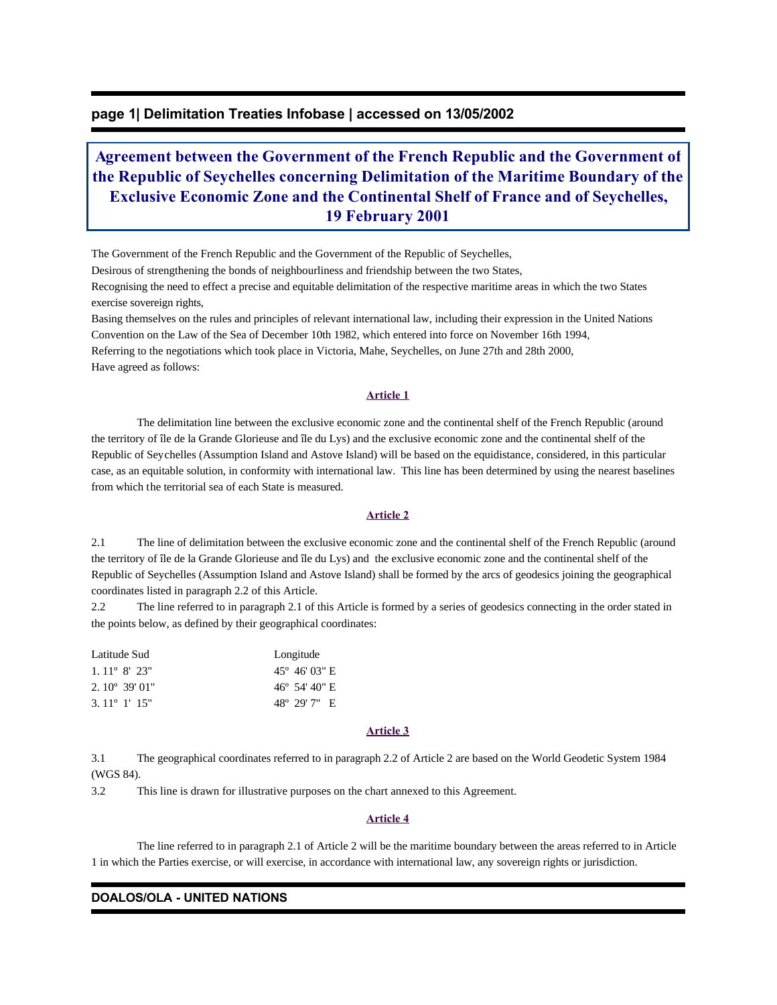# **page 1| Delimitation Treaties Infobase | accessed on 13/05/2002**

# **Agreement between the Government of the French Republic and the Government of the Republic of Seychelles concerning Delimitation of the Maritime Boundary of the Exclusive Economic Zone and the Continental Shelf of France and of Seychelles, 19 February 2001**

The Government of the French Republic and the Government of the Republic of Seychelles,

Desirous of strengthening the bonds of neighbourliness and friendship between the two States,

Recognising the need to effect a precise and equitable delimitation of the respective maritime areas in which the two States exercise sovereign rights,

Basing themselves on the rules and principles of relevant international law, including their expression in the United Nations Convention on the Law of the Sea of December 10th 1982, which entered into force on November 16th 1994, Referring to the negotiations which took place in Victoria, Mahe, Seychelles, on June 27th and 28th 2000, Have agreed as follows:

#### **Article 1**

 The delimitation line between the exclusive economic zone and the continental shelf of the French Republic (around the territory of île de la Grande Glorieuse and île du Lys) and the exclusive economic zone and the continental shelf of the Republic of Seychelles (Assumption Island and Astove Island) will be based on the equidistance, considered, in this particular case, as an equitable solution, in conformity with international law. This line has been determined by using the nearest baselines from which the territorial sea of each State is measured.

#### **Article 2**

2.1 The line of delimitation between the exclusive economic zone and the continental shelf of the French Republic (around the territory of île de la Grande Glorieuse and île du Lys) and the exclusive economic zone and the continental shelf of the Republic of Seychelles (Assumption Island and Astove Island) shall be formed by the arcs of geodesics joining the geographical coordinates listed in paragraph 2.2 of this Article.

2.2 The line referred to in paragraph 2.1 of this Article is formed by a series of geodesics connecting in the order stated in the points below, as defined by their geographical coordinates:

| Latitude Sud                   | Longitude |                                 |  |
|--------------------------------|-----------|---------------------------------|--|
| $1.11^{\circ}$ 8' 23"          |           | $45^{\circ}$ 46' 03" E          |  |
| $2.10^{\circ}39'01''$          |           | $46^{\circ}$ 54' $40^{\circ}$ E |  |
| $3.11^{\circ}$ 1' $15^{\circ}$ |           | $48^{\circ}$ 29' 7" E           |  |

## **Article 3**

3.1 The geographical coordinates referred to in paragraph 2.2 of Article 2 are based on the World Geodetic System 1984 (WGS 84).

3.2 This line is drawn for illustrative purposes on the chart annexed to this Agreement.

#### **Article 4**

 The line referred to in paragraph 2.1 of Article 2 will be the maritime boundary between the areas referred to in Article 1 in which the Parties exercise, or will exercise, in accordance with international law, any sovereign rights or jurisdiction.

## **DOALOS/OLA - UNITED NATIONS**